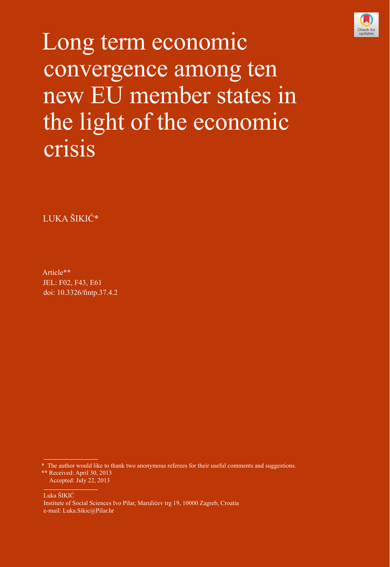

Long term economic convergence among ten new EU member states in the light of the economic crisis

LUKA ŠIKIĆ\*

Article\*\* JEL: F02, F43, E61 doi: [10.3326/fintp.37.4.2](http://dx.doi.org/10.3326/fintp.37.4.2)

\* The author would like to thank two anonymous referees for their useful comments and suggestions. \*\* Received: April 30, 2013

Accepted: July 22, 2013

Luka ŠIKIĆ Institute of Social Sciences Ivo Pilar, Marulićev trg 19, 10000 Zagreb, Croatia e-mail: Luka.Sikic@Pilar.hr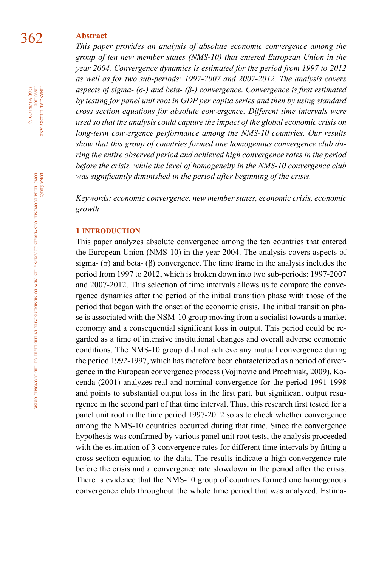# 362 **Abstract**

*This paper provides an analysis of absolute economic convergence among the group of ten new member states (NMS-10) that entered European Union in the year 2004. Convergence dynamics is estimated for the period from 1997 to 2012 as well as for two sub-periods: 1997-2007 and 2007-2012. The analysis covers aspects of sigma- (σ-) and beta- (β-) convergence. Convergence is first estimated by testing for panel unit root in GDP per capita series and then by using standard cross-section equations for absolute convergence. Different time intervals were used so that the analysis could capture the impact of the global economic crisis on long-term convergence performance among the NMS-10 countries. Our results show that this group of countries formed one homogenous convergence club during the entire observed period and achieved high convergence rates in the period before the crisis, while the level of homogeneity in the NMS-10 convergence club was significantly diminished in the period after beginning of the crisis.*

*Keywords: economic convergence, new member states, economic crisis, economic growth*

### **1 introduction**

This paper analyzes absolute convergence among the ten countries that entered the European Union (NMS-10) in the year 2004. The analysis covers aspects of sigma-  $(\sigma)$  and beta-  $(\beta)$  convergence. The time frame in the analysis includes the period from 1997 to 2012, which is broken down into two sub-periods: 1997-2007 and 2007-2012. This selection of time intervals allows us to compare the convergence dynamics after the period of the initial transition phase with those of the period that began with the onset of the economic crisis. The initial transition phase is associated with the NSM-10 group moving from a socialist towards a market economy and a consequential significant loss in output. This period could be regarded as a time of intensive institutional changes and overall adverse economic conditions. The NMS-10 group did not achieve any mutual convergence during the period 1992-1997, which has therefore been characterized as a period of divergence in the European convergence process (Vojinovic and Prochniak, 2009). Kocenda (2001) analyzes real and nominal convergence for the period 1991-1998 and points to substantial output loss in the first part, but significant output resurgence in the second part of that time interval. Thus, this research first tested for a panel unit root in the time period 1997-2012 so as to check whether convergence among the NMS-10 countries occurred during that time. Since the convergence hypothesis was confirmed by various panel unit root tests, the analysis proceeded with the estimation of  $\beta$ -convergence rates for different time intervals by fitting a cross-section equation to the data. The results indicate a high convergence rate before the crisis and a convergence rate slowdown in the period after the crisis. There is evidence that the NMS-10 group of countries formed one homogenous convergence club throughout the whole time period that was analyzed. Estima-

FINANCIAL THEORY PRACTICE 37 (4) 361-381 (2013) 37 (4) 361-381 (2013) practice financial theory and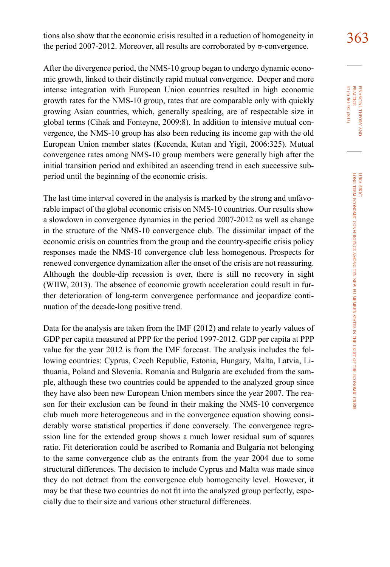tions also show that the economic crisis resulted in a reduction of homogeneity in  $363$ the period 2007-2012. Moreover, all results are corroborated by σ-convergence.

After the divergence period, the NMS-10 group began to undergo dynamic economic growth, linked to their distinctly rapid mutual convergence. Deeper and more intense integration with European Union countries resulted in high economic growth rates for the NMS-10 group, rates that are comparable only with quickly growing Asian countries, which, generally speaking, are of respectable size in global terms (Cihak and Fonteyne, 2009:8). In addition to intensive mutual convergence, the NMS-10 group has also been reducing its income gap with the old European Union member states (Kocenda, Kutan and Yigit, 2006:325). Mutual convergence rates among NMS-10 group members were generally high after the initial transition period and exhibited an ascending trend in each successive subperiod until the beginning of the economic crisis.

The last time interval covered in the analysis is marked by the strong and unfavorable impact of the global economic crisis on NMS-10 countries. Our results show a slowdown in convergence dynamics in the period 2007-2012 as well as change in the structure of the NMS-10 convergence club. The dissimilar impact of the economic crisis on countries from the group and the country-specific crisis policy responses made the NMS-10 convergence club less homogenous. Prospects for renewed convergence dynamization after the onset of the crisis are not reassuring. Although the double-dip recession is over, there is still no recovery in sight (WIIW, 2013). The absence of economic growth acceleration could result in further deterioration of long-term convergence performance and jeopardize continuation of the decade-long positive trend.

Data for the analysis are taken from the IMF (2012) and relate to yearly values of GDP per capita measured at PPP for the period 1997-2012. GDP per capita at PPP value for the year 2012 is from the IMF forecast. The analysis includes the following countries: Cyprus, Czech Republic, Estonia, Hungary, Malta, Latvia, Lithuania, Poland and Slovenia. Romania and Bulgaria are excluded from the sample, although these two countries could be appended to the analyzed group since they have also been new European Union members since the year 2007. The reason for their exclusion can be found in their making the NMS-10 convergence club much more heterogeneous and in the convergence equation showing considerably worse statistical properties if done conversely. The convergence regression line for the extended group shows a much lower residual sum of squares ratio. Fit deterioration could be ascribed to Romania and Bulgaria not belonging to the same convergence club as the entrants from the year 2004 due to some structural differences. The decision to include Cyprus and Malta was made since they do not detract from the convergence club homogeneity level. However, it may be that these two countries do not fit into the analyzed group perfectly, especially due to their size and various other structural differences.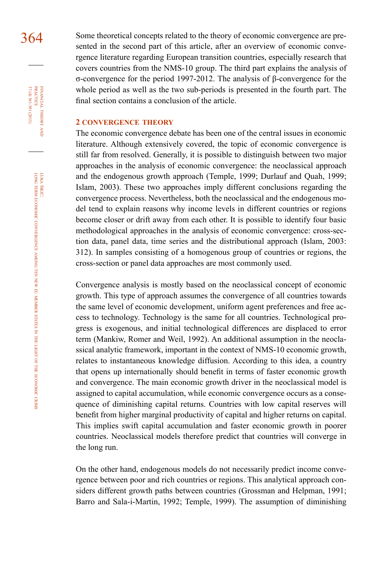364 Some theoretical concepts related to the theory of economic convergence are presented in the second part of this article, after an overview of economic convergence literature regarding European transition countries, especially research that covers countries from the NMS-10 group. The third part explains the analysis of σ-convergence for the period 1997-2012. The analysis of β-convergence for the whole period as well as the two sub-periods is presented in the fourth part. The final section contains a conclusion of the article.

# **2 convergence theory**

The economic convergence debate has been one of the central issues in economic literature. Although extensively covered, the topic of economic convergence is still far from resolved. Generally, it is possible to distinguish between two major approaches in the analysis of economic convergence: the neoclassical approach and the endogenous growth approach (Temple, 1999; Durlauf and Quah, 1999; Islam, 2003). These two approaches imply different conclusions regarding the convergence process. Nevertheless, both the neoclassical and the endogenous model tend to explain reasons why income levels in different countries or regions become closer or drift away from each other. It is possible to identify four basic methodological approaches in the analysis of economic convergence: cross-section data, panel data, time series and the distributional approach (Islam, 2003: 312). In samples consisting of a homogenous group of countries or regions, the cross-section or panel data approaches are most commonly used.

Convergence analysis is mostly based on the neoclassical concept of economic growth. This type of approach assumes the convergence of all countries towards the same level of economic development, uniform agent preferences and free access to technology. Technology is the same for all countries. Technological progress is exogenous, and initial technological differences are displaced to error term (Mankiw, Romer and Weil, 1992). An additional assumption in the neoclassical analytic framework, important in the context of NMS-10 economic growth, relates to instantaneous knowledge diffusion. According to this idea, a country that opens up internationally should benefit in terms of faster economic growth and convergence. The main economic growth driver in the neoclassical model is assigned to capital accumulation, while economic convergence occurs as a consequence of diminishing capital returns. Countries with low capital reserves will benefit from higher marginal productivity of capital and higher returns on capital. This implies swift capital accumulation and faster economic growth in poorer countries. Neoclassical models therefore predict that countries will converge in the long run.

On the other hand, endogenous models do not necessarily predict income convergence between poor and rich countries or regions. This analytical approach considers different growth paths between countries (Grossman and Helpman, 1991; Barro and Sala-i-Martin, 1992; Temple, 1999). The assumption of diminishing

financial

FINANCIAL THEORY PRACTICE 37 (4) 361-381 (2013)

37 (4) 361-381 (2013) practice

theory and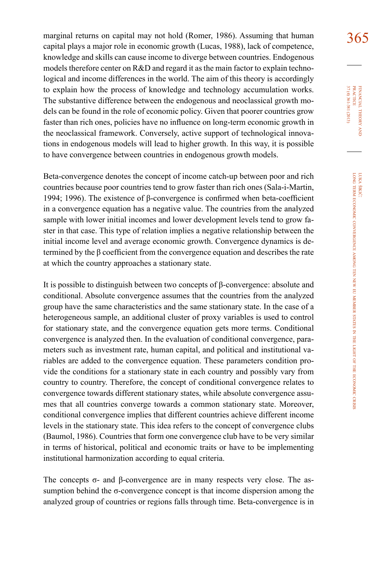marginal returns on capital may not hold (Romer, 1986). Assuming that human  $365$ capital plays a major role in economic growth (Lucas, 1988), lack of competence, knowledge and skills can cause income to diverge between countries. Endogenous models therefore center on R&D and regard it as the main factor to explain technological and income differences in the world. The aim of this theory is accordingly to explain how the process of knowledge and technology accumulation works. The substantive difference between the endogenous and neoclassical growth models can be found in the role of economic policy. Given that poorer countries grow faster than rich ones, policies have no influence on long-term economic growth in the neoclassical framework. Conversely, active support of technological innovations in endogenous models will lead to higher growth. In this way, it is possible to have convergence between countries in endogenous growth models.

Beta-convergence denotes the concept of income catch-up between poor and rich countries because poor countries tend to grow faster than rich ones (Sala-i-Martin, 1994; 1996). The existence of β-convergence is confirmed when beta-coefficient in a convergence equation has a negative value. The countries from the analyzed sample with lower initial incomes and lower development levels tend to grow faster in that case. This type of relation implies a negative relationship between the initial income level and average economic growth. Convergence dynamics is determined by the β coefficient from the convergence equation and describes the rate at which the country approaches a stationary state.

It is possible to distinguish between two concepts of β-convergence: absolute and conditional. Absolute convergence assumes that the countries from the analyzed group have the same characteristics and the same stationary state. In the case of a heterogeneous sample, an additional cluster of proxy variables is used to control for stationary state, and the convergence equation gets more terms. Conditional convergence is analyzed then. In the evaluation of conditional convergence, parameters such as investment rate, human capital, and political and institutional variables are added to the convergence equation. These parameters condition provide the conditions for a stationary state in each country and possibly vary from country to country. Therefore, the concept of conditional convergence relates to convergence towards different stationary states, while absolute convergence assumes that all countries converge towards a common stationary state. Moreover, conditional convergence implies that different countries achieve different income levels in the stationary state. This idea refers to the concept of convergence clubs (Baumol, 1986). Countries that form one convergence club have to be very similar in terms of historical, political and economic traits or have to be implementing institutional harmonization according to equal criteria.

The concepts  $\sigma$ - and  $\beta$ -convergence are in many respects very close. The assumption behind the σ-convergence concept is that income dispersion among the analyzed group of countries or regions falls through time. Beta-convergence is in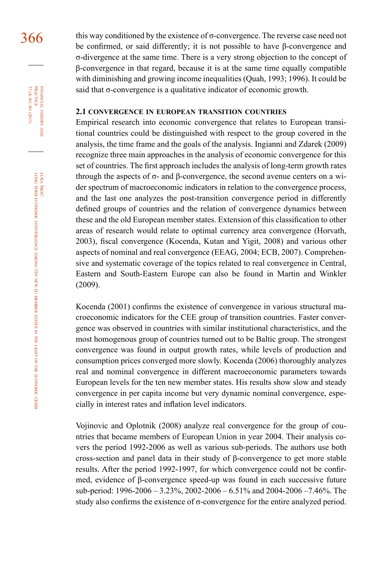$366$  this way conditioned by the existence of  $\sigma$ -convergence. The reverse case need not be confirmed, or said differently; it is not possible to have β-convergence and σ-divergence at the same time. There is a very strong objection to the concept of β-convergence in that regard, because it is at the same time equally compatible with diminishing and growing income inequalities (Quah, 1993; 1996). It could be said that σ-convergence is a qualitative indicator of economic growth.

## **2.1 convergence in european transition countries**

Empirical research into economic convergence that relates to European transitional countries could be distinguished with respect to the group covered in the analysis, the time frame and the goals of the analysis. Ingianni and Zdarek (2009) recognize three main approaches in the analysis of economic convergence for this set of countries. The first approach includes the analysis of long-term growth rates through the aspects of  $\sigma$ - and β-convergence, the second avenue centers on a wider spectrum of macroeconomic indicators in relation to the convergence process, and the last one analyzes the post-transition convergence period in differently defined groups of countries and the relation of convergence dynamics between these and the old European member states. Extension of this classification to other areas of research would relate to optimal currency area convergence (Horvath, 2003), fiscal convergence (Kocenda, Kutan and Yigit, 2008) and various other aspects of nominal and real convergence (EEAG, 2004; ECB, 2007). Comprehensive and systematic coverage of the topics related to real convergence in Central, Eastern and South-Eastern Europe can also be found in Martin and Winkler (2009).

Kocenda (2001) confirms the existence of convergence in various structural macroeconomic indicators for the CEE group of transition countries. Faster convergence was observed in countries with similar institutional characteristics, and the most homogenous group of countries turned out to be Baltic group. The strongest convergence was found in output growth rates, while levels of production and consumption prices converged more slowly. Kocenda (2006) thoroughly analyzes real and nominal convergence in different macroeconomic parameters towards European levels for the ten new member states. His results show slow and steady convergence in per capita income but very dynamic nominal convergence, especially in interest rates and inflation level indicators.

Vojinovic and Oplotnik (2008) analyze real convergence for the group of countries that became members of European Union in year 2004. Their analysis covers the period 1992-2006 as well as various sub-periods. The authors use both cross-section and panel data in their study of β-convergence to get more stable results. After the period 1992-1997, for which convergence could not be confirmed, evidence of β-convergence speed-up was found in each successive future sub-period: 1996-2006 – 3.23%, 2002-2006 – 6.51% and 2004-2006 –7.46%. The study also confirms the existence of  $\sigma$ -convergence for the entire analyzed period.

37 (4) 361-381 (2013) FINANCIAL THEORY PRACTICE 37 (4) 361-381 (2013) practice financial theory and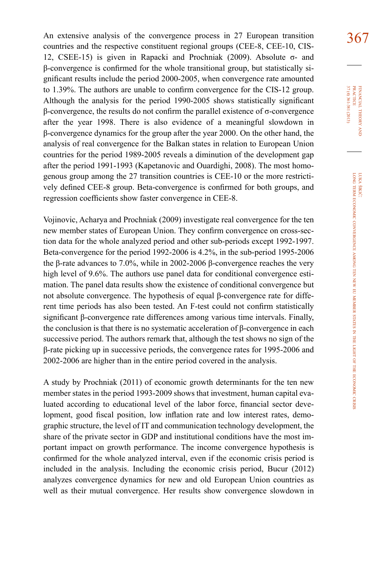An extensive analysis of the convergence process in 27 European transition  $367$ countries and the respective constituent regional groups (CEE-8, CEE-10, CIS-12, CSEE-15) is given in Rapacki and Prochniak (2009). Absolute σ- and β-convergence is confirmed for the whole transitional group, but statistically significant results include the period 2000-2005, when convergence rate amounted to 1.39%. The authors are unable to confirm convergence for the CIS-12 group. Although the analysis for the period 1990-2005 shows statistically significant β-convergence, the results do not confirm the parallel existence of σ-convergence after the year 1998. There is also evidence of a meaningful slowdown in β-convergence dynamics for the group after the year 2000. On the other hand, the analysis of real convergence for the Balkan states in relation to European Union countries for the period 1989-2005 reveals a diminution of the development gap after the period 1991-1993 (Kapetanovic and Ouardighi, 2008). The most homogenous group among the 27 transition countries is CEE-10 or the more restrictively defined CEE-8 group. Beta-convergence is confirmed for both groups, and regression coefficients show faster convergence in CEE-8.

Vojinovic, Acharya and Prochniak (2009) investigate real convergence for the ten new member states of European Union. They confirm convergence on cross-section data for the whole analyzed period and other sub-periods except 1992-1997. Beta-convergence for the period 1992-2006 is 4.2%, in the sub-period 1995-2006 the β-rate advances to 7.0%, while in 2002-2006 β-convergence reaches the very high level of 9.6%. The authors use panel data for conditional convergence estimation. The panel data results show the existence of conditional convergence but not absolute convergence. The hypothesis of equal β-convergence rate for different time periods has also been tested. An F-test could not confirm statistically significant β-convergence rate differences among various time intervals. Finally, the conclusion is that there is no systematic acceleration of β-convergence in each successive period. The authors remark that, although the test shows no sign of the β-rate picking up in successive periods, the convergence rates for 1995-2006 and 2002-2006 are higher than in the entire period covered in the analysis.

A study by Prochniak (2011) of economic growth determinants for the ten new member states in the period 1993-2009 shows that investment, human capital evaluated according to educational level of the labor force, financial sector development, good fiscal position, low inflation rate and low interest rates, demographic structure, the level of IT and communication technology development, the share of the private sector in GDP and institutional conditions have the most important impact on growth performance. The income convergence hypothesis is confirmed for the whole analyzed interval, even if the economic crisis period is included in the analysis. Including the economic crisis period, Bucur (2012) analyzes convergence dynamics for new and old European Union countries as well as their mutual convergence. Her results show convergence slowdown in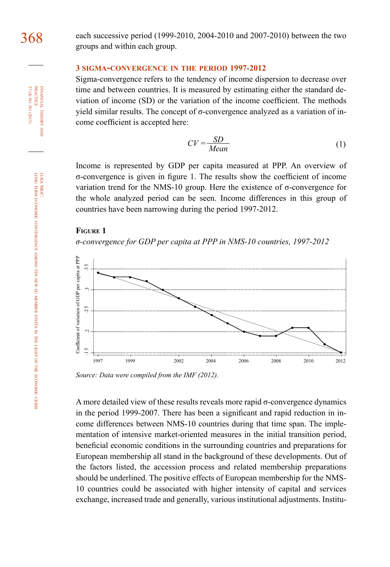**PRACTICE** FINANCIAL THEORY 37 (4) 361-381 (2013) 37 (4) 361-381 (2013) practice financial theory and

> luka šikić: long term economic convergence among ten new member states in the light of the economic crisis

368 each successive period (1999-2010, 2004-2010 and 2007-2010) between the two groups and within each group.

## **3 sigma-convergence in the period 1997-2012**

Sigma-convergence refers to the tendency of income dispersion to decrease over time and between countries. It is measured by estimating either the standard deviation of income (SD) or the variation of the income coefficient. The methods yield similar results. The concept of  $σ$ -convergence analyzed as a variation of income coefficient is accepted here:

$$
CV = \frac{SD}{Mean}
$$
 (1)

Income is represented by GDP per capita measured at PPP. An overview of σ-convergence is given in figure 1. The results show the coefficient of income variation trend for the NMS-10 group. Here the existence of σ-convergence for the whole analyzed period can be seen. Income differences in this group of countries have been narrowing during the period 1997-2012.

### **Figure 1**

*σ-convergence for GDP per capita at PPP in NMS-10 countries, 1997-2012*



*Source: Data were compiled from the IMF (2012).*

A more detailed view of these results reveals more rapid σ-convergence dynamics in the period 1999-2007. There has been a significant and rapid reduction in income differences between NMS-10 countries during that time span. The implementation of intensive market-oriented measures in the initial transition period, beneficial economic conditions in the surrounding countries and preparations for European membership all stand in the background of these developments. Out of the factors listed, the accession process and related membership preparations should be underlined. The positive effects of European membership for the NMS-10 countries could be associated with higher intensity of capital and services exchange, increased trade and generally, various institutional adjustments. Institu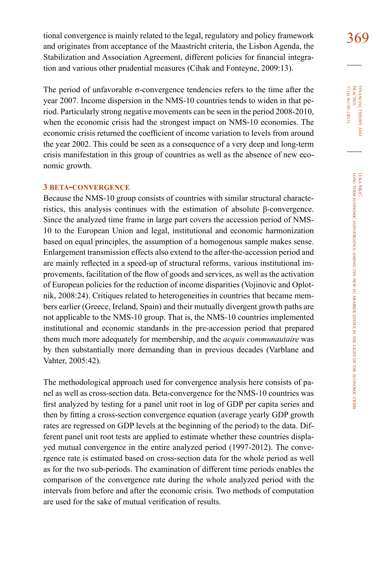tional convergence is mainly related to the legal, regulatory and policy framework  $369$ and originates from acceptance of the Maastricht criteria, the Lisbon Agenda, the Stabilization and Association Agreement, different policies for financial integration and various other prudential measures (Cihak and Fonteyne, 2009:13).

The period of unfavorable  $\sigma$ -convergence tendencies refers to the time after the year 2007. Income dispersion in the NMS-10 countries tends to widen in that period. Particularly strong negative movements can be seen in the period 2008-2010, when the economic crisis had the strongest impact on NMS-10 economies. The economic crisis returned the coefficient of income variation to levels from around the year 2002. This could be seen as a consequence of a very deep and long-term crisis manifestation in this group of countries as well as the absence of new economic growth.

## **3 beta-convergence**

Because the NMS-10 group consists of countries with similar structural characteristics, this analysis continues with the estimation of absolute β-convergence. Since the analyzed time frame in large part covers the accession period of NMS-10 to the European Union and legal, institutional and economic harmonization based on equal principles, the assumption of a homogenous sample makes sense. Enlargement transmission effects also extend to the after-the-accession period and are mainly reflected in a speed-up of structural reforms, various institutional improvements, facilitation of the flow of goods and services, as well as the activation of European policies for the reduction of income disparities (Vojinovic and Oplotnik, 2008:24). Critiques related to heterogeneities in countries that became members earlier (Greece, Ireland, Spain) and their mutually divergent growth paths are not applicable to the NMS-10 group. That is, the NMS-10 countries implemented institutional and economic standards in the pre-accession period that prepared them much more adequately for membership, and the *acquis communautaire* was by then substantially more demanding than in previous decades (Varblane and Vahter, 2005:42).

The methodological approach used for convergence analysis here consists of panel as well as cross-section data. Beta-convergence for the NMS-10 countries was first analyzed by testing for a panel unit root in log of GDP per capita series and then by fitting a cross-section convergence equation (average yearly GDP growth rates are regressed on GDP levels at the beginning of the period) to the data. Different panel unit root tests are applied to estimate whether these countries displayed mutual convergence in the entire analyzed period (1997-2012). The convergence rate is estimated based on cross-section data for the whole period as well as for the two sub-periods. The examination of different time periods enables the comparison of the convergence rate during the whole analyzed period with the intervals from before and after the economic crisis. Two methods of computation are used for the sake of mutual verification of results.

37 (4) 361-381 (2013) FINANCIAL THEORY<br>PRACTICE 37 (4) 361-381 (2013) practice financial theory i<br>And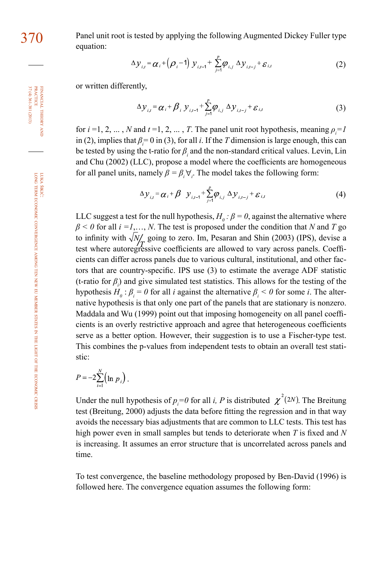370 Panel unit root is tested by applying the following Augmented Dickey Fuller type equation:

$$
\Delta y_{i,t} = \alpha_i + (\rho_i - 1) y_{i,t-1} + \sum_{j=1}^p \rho_{i,j} \Delta y_{i,t-j} + \varepsilon_{i,t}
$$
 (2)

or written differently,

$$
\Delta y_{i,t} = \alpha_i + \beta_i y_{i,t-1} + \sum_{j=1}^p \varphi_{i,j} \Delta y_{i,t-j} + \varepsilon_{i,t}
$$
\n(3)

for  $i = 1, 2, ..., N$  and  $t = 1, 2, ..., T$ . The panel unit root hypothesis, meaning  $\rho_i = I$ in (2), implies that  $\beta_i = 0$  in (3), for all *i*. If the *T* dimension is large enough, this can be tested by using the t-ratio for *β<sup>i</sup>* and the non-standard critical values. Levin, Lin and Chu (2002) (LLC), propose a model where the coefficients are homogeneous for all panel units, namely  $\beta = \beta_i \forall_i$ . The model takes the following form:

$$
\Delta y_{i,t} = \alpha_i + \beta \quad y_{i,t-1} + \sum_{j=1}^{p} \varphi_{i,j} \quad \Delta y_{i,t-j} + \varepsilon_{i,t} \tag{4}
$$

LLC suggest a test for the null hypothesis,  $H_0: \beta = 0$ , against the alternative where *β < 0* for all *i =1*,…, *N*. The test is proposed under the condition that *N* and *T* go to infinity with  $\sqrt{N_c}$  going to zero. Im, Pesaran and Shin (2003) (IPS), devise a test where autoregressive coefficients are allowed to vary across panels. Coefficients can differ across panels due to various cultural, institutional, and other factors that are country-specific. IPS use (3) to estimate the average ADF statistic (t-ratio for  $\beta$ <sub>*i*</sub>) and give simulated test statistics. This allows for the testing of the hypothesis  $H_0: \beta_i = 0$  for all *i* against the alternative  $\beta_i < 0$  for some *i*. The alternative hypothesis is that only one part of the panels that are stationary is nonzero. Maddala and Wu (1999) point out that imposing homogeneity on all panel coefficients is an overly restrictive approach and agree that heterogeneous coefficients serve as a better option. However, their suggestion is to use a Fischer-type test. This combines the p-values from independent tests to obtain an overall test statistic:

$$
P = -2\sum_{i=1}^N (\ln p_i).
$$

Under the null hypothesis of  $p_i = 0$  for all *i*, *P* is distributed  $\chi^2(2N)$ . The Breitung test (Breitung, 2000) adjusts the data before fitting the regression and in that way avoids the necessary bias adjustments that are common to LLC tests. This test has high power even in small samples but tends to deteriorate when *T* is fixed and *N* is increasing. It assumes an error structure that is uncorrelated across panels and time.

To test convergence, the baseline methodology proposed by Ben-David (1996) is followed here. The convergence equation assumes the following form:

financial

37 (4) 361-381 (2013) practice

 $37(4)361-381(2013)$ 

theory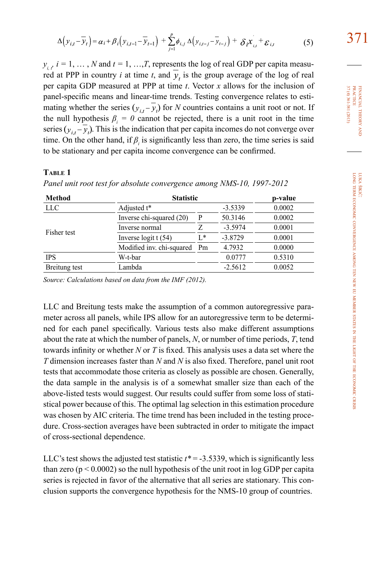$$
\Delta \left( y_{i,t} - \overline{y}_t \right) = \alpha_i + \beta_i \left( y_{i,t-1} - \overline{y}_{t-1} \right) + \sum_{j=1}^p \phi_{i,j} \Delta \left( y_{i,t-j} - \overline{y}_{t-j} \right) + \delta_i \overline{x}_{i,t} + \varepsilon_{i,t}
$$
(5)

 $y_{i,t}$ ,  $i = 1, ..., N$  and  $t = 1, ..., T$ , represents the log of real GDP per capita measured at PPP in country *i* at time *t*, and  $\overline{y}$ , is the group average of the log of real per capita GDP measured at PPP at time *t*. Vector *x* allows for the inclusion of panel-specific means and linear-time trends. Testing convergence relates to estimating whether the series  $(y_{i,t} - \overline{y}_t)$  for *N* countries contains a unit root or not. If the null hypothesis  $\beta_i = 0$  cannot be rejected, there is a unit root in the time series  $(y_{i,t} - \overline{y}_t)$ . This is the indication that per capita incomes do not converge over time. On the other hand, if  $\beta$ <sub>*i*</sub> is significantly less than zero, the time series is said to be stationary and per capita income convergence can be confirmed.

# **Table 1**

| <b>Method</b> | <b>Statistic</b>              | p-value |           |        |
|---------------|-------------------------------|---------|-----------|--------|
| <b>LLC</b>    | Adjusted t*                   |         | $-3.5339$ | 0.0002 |
| Fisher test   | Inverse chi-squared (20)<br>P |         | 50.3146   | 0.0002 |
|               | Inverse normal                |         | $-3.5974$ | 0.0001 |
|               | Inverse logit $t(54)$         | $L^*$   | $-3.8729$ | 0.0001 |
|               | Modified inv. chi-squared     | Pm      | 4.7932    | 0.0000 |
| <b>IPS</b>    | W-t-bar                       |         | 0.0777    | 0.5310 |
| Breitung test | Lambda                        |         | $-2.5612$ | 0.0052 |

*Panel unit root test for absolute convergence among NMS-10, 1997-2012*

*Source: Calculations based on data from the IMF (2012).*

LLC and Breitung tests make the assumption of a common autoregressive parameter across all panels, while IPS allow for an autoregressive term to be determined for each panel specifically. Various tests also make different assumptions about the rate at which the number of panels, *N*, or number of time periods, *T*, tend towards infinity or whether *N* or *T* is fixed. This analysis uses a data set where the *T* dimension increases faster than *N* and *N* is also fixed. Therefore, panel unit root tests that accommodate those criteria as closely as possible are chosen. Generally, the data sample in the analysis is of a somewhat smaller size than each of the above-listed tests would suggest. Our results could suffer from some loss of statistical power because of this. The optimal lag selection in this estimation procedure was chosen by AIC criteria. The time trend has been included in the testing procedure. Cross-section averages have been subtracted in order to mitigate the impact of cross-sectional dependence.

LLC's test shows the adjusted test statistic  $t^* = -3.5339$ , which is significantly less than zero ( $p < 0.0002$ ) so the null hypothesis of the unit root in log GDP per capita series is rejected in favor of the alternative that all series are stationary. This conclusion supports the convergence hypothesis for the NMS-10 group of countries.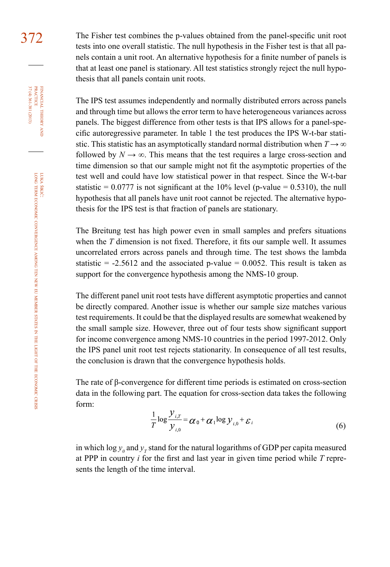372 The Fisher test combines the p-values obtained from the panel-specific unit root tests into one overall statistic. The null hypothesis in the Fisher test is that all panels contain a unit root. An alternative hypothesis for a finite number of panels is that at least one panel is stationary. All test statistics strongly reject the null hypothesis that all panels contain unit roots.

> The IPS test assumes independently and normally distributed errors across panels and through time but allows the error term to have heterogeneous variances across panels. The biggest difference from other tests is that IPS allows for a panel-specific autoregressive parameter. In table 1 the test produces the IPS W-t-bar statistic. This statistic has an asymptotically standard normal distribution when  $T \rightarrow \infty$ followed by  $N \to \infty$ . This means that the test requires a large cross-section and time dimension so that our sample might not fit the asymptotic properties of the test well and could have low statistical power in that respect. Since the W-t-bar statistic =  $0.0777$  is not significant at the 10% level (p-value = 0.5310), the null hypothesis that all panels have unit root cannot be rejected. The alternative hypothesis for the IPS test is that fraction of panels are stationary.

> The Breitung test has high power even in small samples and prefers situations when the *T* dimension is not fixed. Therefore, it fits our sample well. It assumes uncorrelated errors across panels and through time. The test shows the lambda statistic  $= -2.5612$  and the associated p-value  $= 0.0052$ . This result is taken as support for the convergence hypothesis among the NMS-10 group.

> The different panel unit root tests have different asymptotic properties and cannot be directly compared. Another issue is whether our sample size matches various test requirements. It could be that the displayed results are somewhat weakened by the small sample size. However, three out of four tests show significant support for income convergence among NMS-10 countries in the period 1997-2012. Only the IPS panel unit root test rejects stationarity. In consequence of all test results, the conclusion is drawn that the convergence hypothesis holds.

> The rate of β-convergence for different time periods is estimated on cross-section data in the following part. The equation for cross-section data takes the following form:

$$
\frac{1}{T}\log\frac{\mathcal{Y}_{i,T}}{\mathcal{Y}_{i,0}} = \alpha_0 + \alpha_1 \log \mathcal{Y}_{i,0} + \varepsilon_i
$$
\n(6)

in which  $\log y_0$  and  $y_T$  stand for the natural logarithms of GDP per capita measured at PPP in country *i* for the first and last year in given time period while *T* represents the length of the time interval.

financial

FINANCIAL THEORY<br>PRACTICE 37 (4) 361-381 (2013)

37 (4) 361-381 (2013) practice

theory and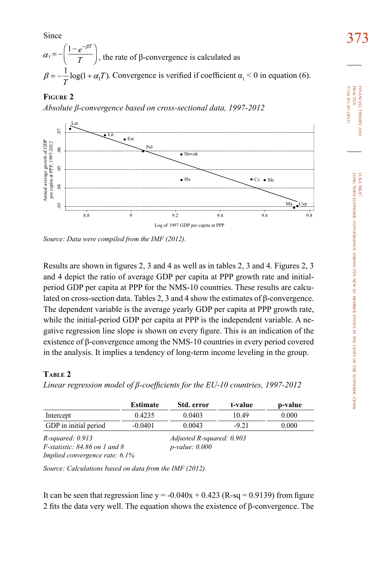Since  $\frac{373}{27}$  , the rate of β-convergence is calculated as . Convergence is verified if coefficient  $\alpha_1 < 0$  in equation (6).

# **Figure 2**

*Absolute β-convergence based on cross-sectional data, 1997-2012*



*Source: Data were compiled from the IMF (2012).*

Results are shown in figures 2, 3 and 4 as well as in tables 2, 3 and 4. Figures 2, 3 and 4 depict the ratio of average GDP per capita at PPP growth rate and initialperiod GDP per capita at PPP for the NMS-10 countries. These results are calculated on cross-section data. Tables 2, 3 and 4 show the estimates of β-convergence. The dependent variable is the average yearly GDP per capita at PPP growth rate, while the initial-period GDP per capita at PPP is the independent variable. A negative regression line slope is shown on every figure. This is an indication of the existence of β-convergence among the NMS-10 countries in every period covered in the analysis. It implies a tendency of long-term income leveling in the group.

# **Table 2**

*Linear regression model of β-coefficients for the EU-10 countries, 1997-2012* 

|                                                         | <b>Estimate</b>                                  | Std. error | t-value | p-value |
|---------------------------------------------------------|--------------------------------------------------|------------|---------|---------|
| Intercept                                               | 0.4235                                           | 0.0403     | 10.49   | 0.000   |
| GDP in initial period                                   | $-0.0401$                                        | 0.0043     | $-9.21$ | 0.000   |
| $R$ -squared: 0.913<br>$F$ -statistic: 84.86 on 1 and 8 | Adjusted R-squared: 0.903<br>$p$ -value: $0.000$ |            |         |         |

*Implied convergence rate: 6.1%*

*Source: Calculations based on data from the IMF (2012).*

It can be seen that regression line  $y = -0.040x + 0.423$  (R-sq = 0.9139) from figure 2 fits the data very well. The equation shows the existence of β-convergence. The 37 (4) 361-381 (2013) 37 (4) 361-381 (2013) **PRACTICE** practice FINANCIAL THEORY financial theory and **a**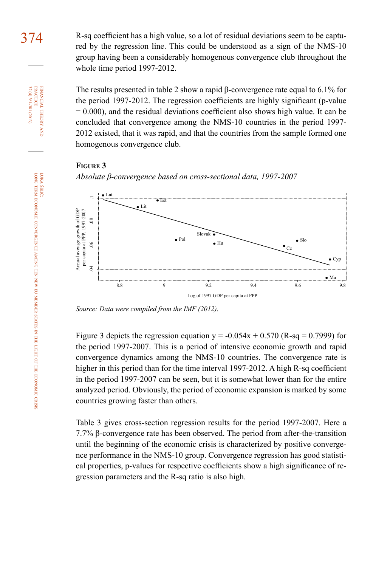374 R-sq coefficient has a high value, so a lot of residual deviations seem to be captured by the regression line. This could be understood as a sign of the NMS-10 group having been a considerably homogenous convergence club throughout the whole time period 1997-2012.

> The results presented in table 2 show a rapid β-convergence rate equal to 6.1% for the period 1997-2012. The regression coefficients are highly significant (p-value  $= 0.000$ ), and the residual deviations coefficient also shows high value. It can be concluded that convergence among the NMS-10 countries in the period 1997- 2012 existed, that it was rapid, and that the countries from the sample formed one homogenous convergence club.

### **Figure 3**





*Source: Data were compiled from the IMF (2012).*

Figure 3 depicts the regression equation  $y = -0.054x + 0.570$  (R-sq = 0.7999) for the period 1997-2007. This is a period of intensive economic growth and rapid convergence dynamics among the NMS-10 countries. The convergence rate is higher in this period than for the time interval 1997-2012. A high R-sq coefficient in the period 1997-2007 can be seen, but it is somewhat lower than for the entire analyzed period. Obviously, the period of economic expansion is marked by some countries growing faster than others.

Table 3 gives cross-section regression results for the period 1997-2007. Here a 7.7% β-convergence rate has been observed. The period from after-the-transition until the beginning of the economic crisis is characterized by positive convergence performance in the NMS-10 group. Convergence regression has good statistical properties, p-values for respective coefficients show a high significance of re-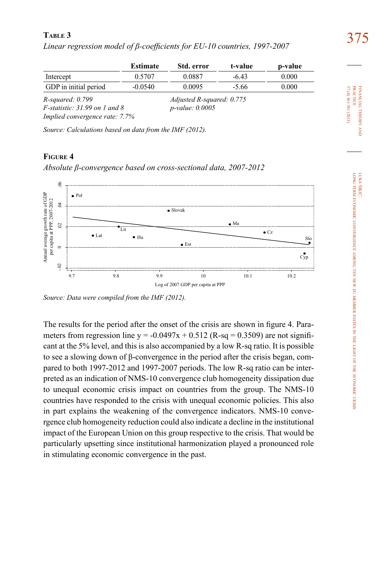375 **Table 3** *Linear regression model of β-coefficients for EU-10 countries, 1997-2007*

|                                  | <b>Estimate</b> | Std. error                | t-value | p-value |
|----------------------------------|-----------------|---------------------------|---------|---------|
| Intercept                        | 0.5707          | 0.0887                    | $-6.43$ | 0.000   |
| GDP in initial period            | $-0.0540$       | 0.0095                    | $-5.66$ | 0.000   |
| $R$ -squared: $0.799$            |                 | Adjusted R-squared: 0.775 |         |         |
| $F$ -statistic: 31.99 on 1 and 8 |                 | $p$ -value: 0.0005        |         |         |
| Implied convergence rate: 7.7%   |                 |                           |         |         |

*Source: Calculations based on data from the IMF (2012).*

## **Figure 4**

*Absolute β-convergence based on cross-sectional data, 2007-2012*



*Source: Data were compiled from the IMF (2012).*

The results for the period after the onset of the crisis are shown in figure 4. Parameters from regression line  $y = -0.0497x + 0.512$  (R-sq = 0.3509) are not significant at the 5% level, and this is also accompanied by a low R-sq ratio. It is possible to see a slowing down of β-convergence in the period after the crisis began, compared to both 1997-2012 and 1997-2007 periods. The low R-sq ratio can be interpreted as an indication of NMS-10 convergence club homogeneity dissipation due to unequal economic crisis impact on countries from the group. The NMS-10 countries have responded to the crisis with unequal economic policies. This also in part explains the weakening of the convergence indicators. NMS-10 convergence club homogeneity reduction could also indicate a decline in the institutional impact of the European Union on this group respective to the crisis. That would be particularly upsetting since institutional harmonization played a pronounced role in stimulating economic convergence in the past.

37 (4) 361-381 (2013) 37 (4) 361-381 (2013) **PRACTICE** practice FINANCIAL THEORY financial theory and **a**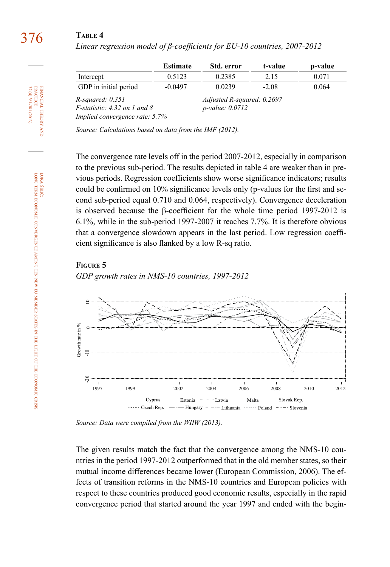# 376 **Table 4**

|                                                        | Estimate                                         | Std. error | t-value | p-value |
|--------------------------------------------------------|--------------------------------------------------|------------|---------|---------|
| Intercept                                              | 0.5123                                           | 0.2385     | 2.15    | 0.071   |
| GDP in initial period                                  | $-0.0497$                                        | 0.0239     | $-2.08$ | 0.064   |
| $R$ -squared: 0.351<br>$F$ -statistic: 4.32 on 1 and 8 | Adjusted R-squared: 0.2697<br>$p$ -value: 0.0712 |            |         |         |
| Implied convergence rate: 5.7%                         |                                                  |            |         |         |

*Linear regression model of β-coefficients for EU-10 countries, 2007-2012*

*Source: Calculations based on data from the IMF (2012).*

The convergence rate levels off in the period 2007-2012, especially in comparison to the previous sub-period. The results depicted in table 4 are weaker than in previous periods. Regression coefficients show worse significance indicators; results could be confirmed on 10% significance levels only (p-values for the first and second sub-period equal 0.710 and 0.064, respectively). Convergence deceleration is observed because the β-coefficient for the whole time period 1997-2012 is 6.1%, while in the sub-period 1997-2007 it reaches 7.7%. It is therefore obvious that a convergence slowdown appears in the last period. Low regression coefficient significance is also flanked by a low R-sq ratio.

#### **Figure 5**





*Source: Data were compiled from the WIIW (2013).* 

The given results match the fact that the convergence among the NMS-10 countries in the period 1997-2012 outperformed that in the old member states, so their mutual income differences became lower (European Commission, 2006). The effects of transition reforms in the NMS-10 countries and European policies with respect to these countries produced good economic results, especially in the rapid convergence period that started around the year 1997 and ended with the begin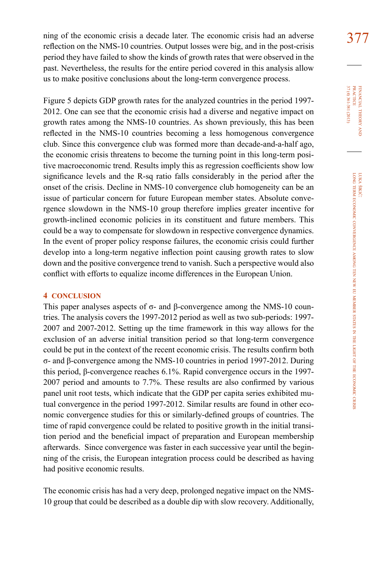ning of the economic crisis a decade later. The economic crisis had an adverse  $377$ reflection on the NMS-10 countries. Output losses were big, and in the post-crisis period they have failed to show the kinds of growth rates that were observed in the past. Nevertheless, the results for the entire period covered in this analysis allow us to make positive conclusions about the long-term convergence process.

Figure 5 depicts GDP growth rates for the analyzed countries in the period 1997- 2012. One can see that the economic crisis had a diverse and negative impact on growth rates among the NMS-10 countries. As shown previously, this has been reflected in the NMS-10 countries becoming a less homogenous convergence club. Since this convergence club was formed more than decade-and-a-half ago, the economic crisis threatens to become the turning point in this long-term positive macroeconomic trend. Results imply this as regression coefficients show low significance levels and the R-sq ratio falls considerably in the period after the onset of the crisis. Decline in NMS-10 convergence club homogeneity can be an issue of particular concern for future European member states. Absolute convergence slowdown in the NMS-10 group therefore implies greater incentive for growth-inclined economic policies in its constituent and future members. This could be a way to compensate for slowdown in respective convergence dynamics. In the event of proper policy response failures, the economic crisis could further develop into a long-term negative inflection point causing growth rates to slow down and the positive convergence trend to vanish. Such a perspective would also conflict with efforts to equalize income differences in the European Union.

## **4 conclusion**

This paper analyses aspects of  $\sigma$ - and  $\beta$ -convergence among the NMS-10 countries. The analysis covers the 1997-2012 period as well as two sub-periods: 1997- 2007 and 2007-2012. Setting up the time framework in this way allows for the exclusion of an adverse initial transition period so that long-term convergence could be put in the context of the recent economic crisis. The results confirm both σ - and β-convergence among the NMS-10 countries in period 1997-2012. During this period, β-convergence reaches 6.1%. Rapid convergence occurs in the 1997- 2007 period and amounts to 7.7%. These results are also confirmed by various panel unit root tests, which indicate that the GDP per capita series exhibited mutual convergence in the period 1997-2012. Similar results are found in other economic convergence studies for this or similarly-defined groups of countries. The time of rapid convergence could be related to positive growth in the initial transition period and the beneficial impact of preparation and European membership afterwards. Since convergence was faster in each successive year until the beginning of the crisis, the European integration process could be described as having had positive economic results.

The economic crisis has had a very deep, prolonged negative impact on the NMS-10 group that could be described as a double dip with slow recovery. Additionally,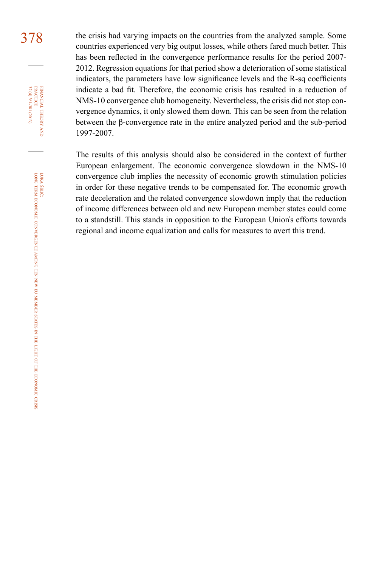378 the crisis had varying impacts on the countries from the analyzed sample. Some countries experienced very big output losses, while others fared much better. This has been reflected in the convergence performance results for the period 2007- 2012. Regression equations for that period show a deterioration of some statistical indicators, the parameters have low significance levels and the R-sq coefficients indicate a bad fit. Therefore, the economic crisis has resulted in a reduction of NMS-10 convergence club homogeneity. Nevertheless, the crisis did not stop convergence dynamics, it only slowed them down. This can be seen from the relation between the β-convergence rate in the entire analyzed period and the sub-period 1997-2007.

> The results of this analysis should also be considered in the context of further European enlargement. The economic convergence slowdown in the NMS-10 convergence club implies the necessity of economic growth stimulation policies in order for these negative trends to be compensated for. The economic growth rate deceleration and the related convergence slowdown imply that the reduction of income differences between old and new European member states could come to a standstill. This stands in opposition to the European Union̕s efforts towards regional and income equalization and calls for measures to avert this trend.

37 (4) 361-381 (2013) FINANCIAL THEORY<br>PRACTICE 37 (4) 361-381 (2013) practice financial theory and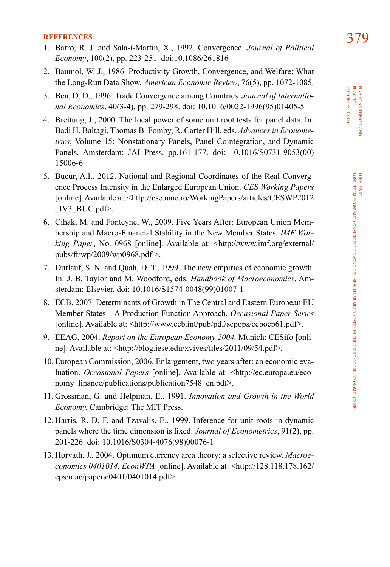- **references** 379 1. Barro, R. J. and Sala-i-Martin, X., 1992. Convergence. *Journal of Political Economy*, 100(2), pp. 223-251. doi:[10.1086/261816](http://www.jstor.org/discover/10.2307/2138606?uid=3738200&uid=2132&uid=2&uid=70&uid=4&sid=21103181134543)
- 2. Baumol, W. J., 1986. Productivity Growth, Convergence, and Welfare: What the Long-Run Data Show. *American Economic Review*, 76(5), pp. 1072-1085.
- 3. Ben, D. D., 1996. Trade Convergence among Countries. *Journal of International Economics*, 40(3-4), pp. 279-298. doi: [10.1016/0022-1996\(95\)01405-5](http://www.sciencedirect.com/science/article/pii/0022199695014055)
- 4. Breitung, J., 2000. The local power of some unit root tests for panel data. In: Badi H. Baltagi, Thomas B. Fomby, R. Carter Hill, eds. *Advances in Econometrics*, Volume 15: Nonstationary Panels, Panel Cointegration, and Dynamic Panels. Amsterdam: JAI Press. pp.161-177. doi: [10.1016/S0731-9053\(00\)](http://www.emeraldinsight.com/books.htm?chapterid=1782974&show=abstract) [15006-6](http://www.emeraldinsight.com/books.htm?chapterid=1782974&show=abstract)
- 5. Bucur, A.I., 2012. National and Regional Coordinates of the Real Convergence Process Intensity in the Enlarged European Union. *CES Working Papers* [online]. Available at: <http://cse.uaic.ro/WorkingPapers/articles/CESWP2012 IV3  $BUC.pdf$ .
- 6. Cihak, M. and Fonteyne, W., 2009. Five Years After: European Union Membership and Macro-Financial Stability in the New Member States. *IMF Working Paper*, No. 0968 [online]. Available at: <http://www.imf.org/external/ pubs/ft/wp/2009/wp0968.pdf >.
- 7. Durlauf, S. N. and Quah, D. T., 1999. The new empirics of economic growth. In: J. B. Taylor and M. Woodford, eds. *Handbook of Macroeconomics*. Amsterdam: Elsevier. doi: [10.1016/S1574-0048\(99\)01007-1](http://www.sciencedirect.com/science/article/pii/S1574004899010071)
- 8. ECB, 2007. Determinants of Growth in The Central and Eastern European EU Member States – A Production Function Approach. *Occasional Paper Series* [online]. Available at: <http://www.ecb.int/pub/pdf/scpops/ecbocp61.pdf>.
- 9. EEAG, 2004. *Report on the European Economy 2004.* Munich: CESifo [online]. Available at: <http://blog.iese.edu/xvives/files/2011/09/54.pdf>.
- 10. European Commission, 2006. Enlargement, two years after: an economic evaluation. *Occasional Papers* [online]. Available at: [<http://ec.europa.eu/eco](http://ec.europa.eu/economy_finance/publications/publication7548_en.pdf)nomy finance/publications/publication7548 en.pdf>.
- 11. Grossman, G. and Helpman, E., 1991. *Innovation and Growth in the World Economy.* Cambridge: The MIT Press.
- 12. Harris, R. D. F. and Tzavalis, E., 1999. Inference for unit roots in dynamic panels where the time dimension is fixed. *Journal of Econometrics*, 91(2), pp. 201-226. doi: [10.1016/S0304-4076\(98\)00076-1](http://www.sciencedirect.com/science/article/pii/S0304407698000761)
- 13. Horvath, J., 2004. Optimum currency area theory: a selective review. *Macroeconomics 0401014, EconWPA* [online]. Available at: <http://128.118.178.162/ eps/mac/papers/0401/0401014.pdf>.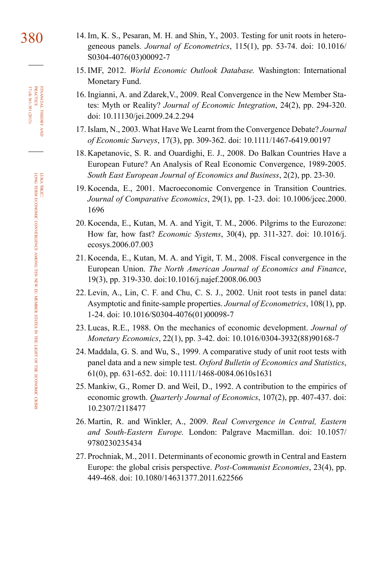- 380 14. Im, K. S., Pesaran, M. H. and Shin, Y., 2003. Testing for unit roots in heterogeneous panels. *Journal of Econometrics*, 115(1), pp. 53-74. doi: [10.1016/](http://www.sciencedirect.com/science/article/pii/S0304407603000927) [S0304-4076\(03\)00092-7](http://www.sciencedirect.com/science/article/pii/S0304407603000927)
	- 15. IMF, 2012. *World Economic Outlook Database.* Washington: International Monetary Fund.
	- 16. Ingianni, A. and Zdarek,V., 2009. Real Convergence in the New Member States: Myth or Reality? *Journal of Economic Integration*, 24(2), pp. 294-320. doi: [10.11130/jei.2009.24.2.294](http://www.e-jei.org/journal/view.php?doi=10.11130/jei.2009.24.2.294)
	- 17. Islam, N., 2003. What Have We Learnt from the Convergence Debate? *Journal of Economic Surveys*, 17(3), pp. 309-362. doi: [10.1111/1467-6419.00197](http://onlinelibrary.wiley.com/doi/10.1111/1467-6419.00197/abstract)
	- 18. Kapetanovic, S. R. and Ouardighi, E. J., 2008. Do Balkan Countries Have a European Future? An Analysis of Real Economic Convergence, 1989-2005. *South East European Journal of Economics and Business*, 2(2), pp. 23-30.
	- 19. Kocenda, E., 2001. Macroeconomic Convergence in Transition Countries. *Journal of Comparative Economics*, 29(1), pp. 1-23. doi: [10.1006/jcec.2000.](http://www.sciencedirect.com/science/article/pii/S0147596700916962) [1696](http://www.sciencedirect.com/science/article/pii/S0147596700916962)
	- 20. Kocenda, E., Kutan, M. A. and Yigit, T. M., 2006. Pilgrims to the Eurozone: How far, how fast? *Economic Systems*, 30(4), pp. 311-327. doi: [10.1016/j.](http://www.sciencedirect.com/science/article/pii/S0939362506000525) [ecosys.2006.07.003](http://www.sciencedirect.com/science/article/pii/S0939362506000525)
	- 21. Kocenda, E., Kutan, M. A. and Yigit, T. M., 2008. Fiscal convergence in the European Union. *The North American Journal of Economics and Finance*, 19(3), pp. 319-330. doi:[10.1016/j.najef.2008.06.003](http://www.sciencedirect.com/science/article/pii/S1062940808000594)
	- 22. Levin, A., Lin, C. F. and Chu, C. S. J., 2002. Unit root tests in panel data: Asymptotic and finite-sample properties. *Journal of Econometrics*, 108(1), pp. 1-24. doi: [10.1016/S0304-4076\(01\)00098-7](http://www.sciencedirect.com/science/article/pii/S0304407601000987)
	- 23. Lucas, R.E., 1988. On the mechanics of economic development. *Journal of Monetary Economics*, 22(1), pp. 3-42. doi: [10.1016/0304-3932\(88\)90168-7](http://www.sciencedirect.com/science/article/pii/0304393288901687)
	- 24. Maddala, G. S. and Wu, S., 1999. A comparative study of unit root tests with panel data and a new simple test. *Oxford Bulletin of Economics and Statistics*, 61(0), pp. 631-652. doi: [10.1111/1468-0084.0610s1631](http://onlinelibrary.wiley.com/doi/10.1111/1468-0084.0610s1631/abstract)
	- 25. Mankiw, G., Romer D. and Weil, D., 1992. A contribution to the empirics of economic growth. *Quarterly Journal of Economics*, 107(2), pp. 407-437. doi: [10.2307/2118477](http://qje.oxfordjournals.org/content/107/2/407.short)
	- 26. Martin, R. and Winkler, A., 2009. *Real Convergence in Central, Eastern and South-Eastern Europe.* London: Palgrave Macmillan. doi: [10.1057/](http://www.palgraveconnect.com/pc/doifinder/10.1057/9780230235434) [9780230235434](http://www.palgraveconnect.com/pc/doifinder/10.1057/9780230235434)
	- 27. Prochniak, M., 2011. Determinants of economic growth in Central and Eastern Europe: the global crisis perspective. *Post-Communist Economies*, 23(4), pp. 449-468. doi: [10.1080/14631377.2011.622566](http://www.tandfonline.com/doi/abs/10.1080/14631377.2011.622566#.Uqb4Z-Iuf5w)

financial theory FINANCIAL THEORY AND PRACTICE<br>PRACTICE<br>37 (4) 361-381 (2013) 37 (4) 361-381 (2013) practice